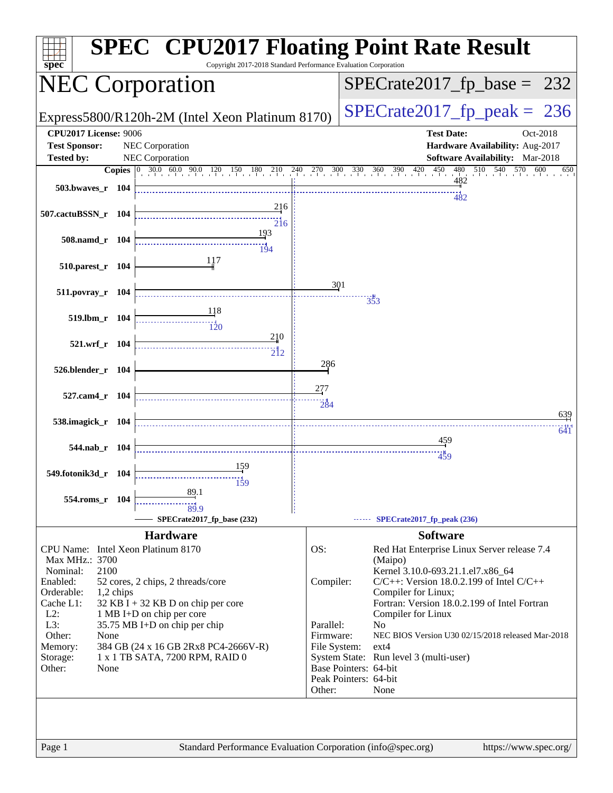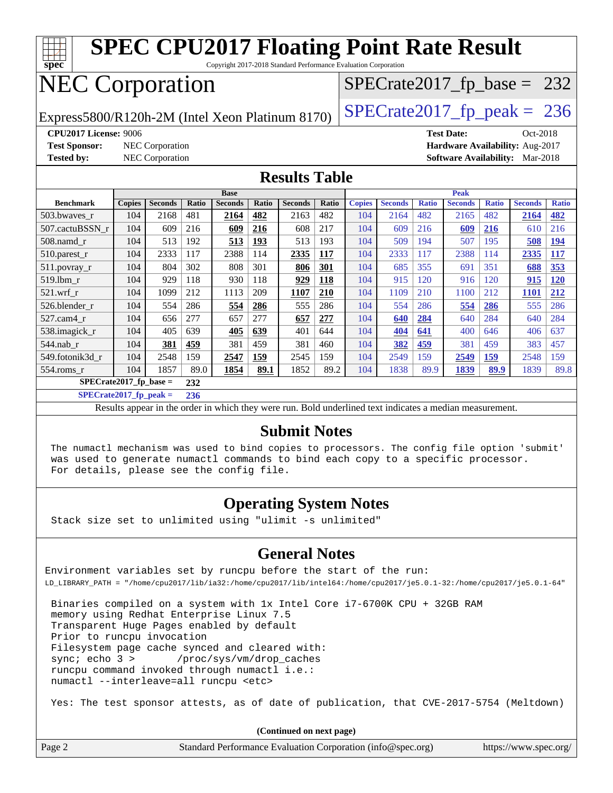

Copyright 2017-2018 Standard Performance Evaluation Corporation

## NEC Corporation

Express5800/R120h-2M (Intel Xeon Platinum 8170)  $\left|$  [SPECrate2017\\_fp\\_peak =](http://www.spec.org/auto/cpu2017/Docs/result-fields.html#SPECrate2017fppeak) 236

 $SPECTate2017_fp\_base = 232$ 

**[CPU2017 License:](http://www.spec.org/auto/cpu2017/Docs/result-fields.html#CPU2017License)** 9006 **[Test Date:](http://www.spec.org/auto/cpu2017/Docs/result-fields.html#TestDate)** Oct-2018 **[Test Sponsor:](http://www.spec.org/auto/cpu2017/Docs/result-fields.html#TestSponsor)** NEC Corporation **[Hardware Availability:](http://www.spec.org/auto/cpu2017/Docs/result-fields.html#HardwareAvailability)** Aug-2017 **[Tested by:](http://www.spec.org/auto/cpu2017/Docs/result-fields.html#Testedby)** NEC Corporation **[Software Availability:](http://www.spec.org/auto/cpu2017/Docs/result-fields.html#SoftwareAvailability)** Mar-2018

#### **[Results Table](http://www.spec.org/auto/cpu2017/Docs/result-fields.html#ResultsTable)**

|                          | <b>Base</b>   |                |       |                |       | <b>Peak</b>    |       |               |                |              |                |              |                |              |
|--------------------------|---------------|----------------|-------|----------------|-------|----------------|-------|---------------|----------------|--------------|----------------|--------------|----------------|--------------|
| <b>Benchmark</b>         | <b>Copies</b> | <b>Seconds</b> | Ratio | <b>Seconds</b> | Ratio | <b>Seconds</b> | Ratio | <b>Copies</b> | <b>Seconds</b> | <b>Ratio</b> | <b>Seconds</b> | <b>Ratio</b> | <b>Seconds</b> | <b>Ratio</b> |
| 503.bwaves_r             | 104           | 2168           | 481   | 2164           | 482   | 2163           | 482   | 104           | 2164           | 482          | 2165           | 482          | 2164           | 482          |
| 507.cactuBSSN r          | 104           | 609            | 216   | 609            | 216   | 608            | 217   | 104           | 609            | 216          | 609            | 216          | 610            | 216          |
| $508$ .namd $r$          | 104           | 513            | 192   | 513            | 193   | 513            | 193   | 104           | 509            | 194          | 507            | 195          | 508            | <b>194</b>   |
| $510.parest_r$           | 104           | 2333           | 117   | 2388           | 114   | 2335           | 117   | 104           | 2333           | 117          | 2388           | 114          | 2335           | 117          |
| $511.$ povray_r          | 104           | 804            | 302   | 808            | 301   | 806            | 301   | 104           | 685            | 355          | 691            | 351          | 688            | 353          |
| 519.1bm r                | 104           | 929            | 118   | 930            | 118   | 929            | 118   | 104           | 915            | 120          | 916            | 120          | 915            | <b>120</b>   |
| $521$ .wrf r             | 104           | 1099           | 212   | 1113           | 209   | 1107           | 210   | 104           | 1109           | 210          | 1100           | 212          | <b>1101</b>    | 212          |
| 526.blender r            | 104           | 554            | 286   | 554            | 286   | 555            | 286   | 104           | 554            | 286          | 554            | 286          | 555            | 286          |
| 527.cam4 r               | 104           | 656            | 277   | 657            | 277   | 657            | 277   | 104           | 640            | 284          | 640            | 284          | 640            | 284          |
| 538.imagick_r            | 104           | 405            | 639   | 405            | 639   | 401            | 644   | 104           | 404            | 641          | 400            | 646          | 406            | 637          |
| 544.nab r                | 104           | 381            | 459   | 381            | 459   | 381            | 460   | 104           | 382            | 459          | 381            | 459          | 383            | 457          |
| 549.fotonik3d r          | 104           | 2548           | 159   | 2547           | 159   | 2545           | 159   | 104           | 2549           | 159          | 2549           | <u>159</u>   | 2548           | 159          |
| $554$ .roms_r            | 104           | 1857           | 89.0  | 1854           | 89.1  | 1852           | 89.2  | 104           | 1838           | 89.9         | 1839           | 89.9         | 1839           | 89.8         |
| $SPECrate2017$ fp base = |               |                | 232   |                |       |                |       |               |                |              |                |              |                |              |

**[SPECrate2017\\_fp\\_peak =](http://www.spec.org/auto/cpu2017/Docs/result-fields.html#SPECrate2017fppeak) 236**

Results appear in the [order in which they were run.](http://www.spec.org/auto/cpu2017/Docs/result-fields.html#RunOrder) Bold underlined text [indicates a median measurement.](http://www.spec.org/auto/cpu2017/Docs/result-fields.html#Median)

#### **[Submit Notes](http://www.spec.org/auto/cpu2017/Docs/result-fields.html#SubmitNotes)**

 The numactl mechanism was used to bind copies to processors. The config file option 'submit' was used to generate numactl commands to bind each copy to a specific processor. For details, please see the config file.

#### **[Operating System Notes](http://www.spec.org/auto/cpu2017/Docs/result-fields.html#OperatingSystemNotes)**

Stack size set to unlimited using "ulimit -s unlimited"

#### **[General Notes](http://www.spec.org/auto/cpu2017/Docs/result-fields.html#GeneralNotes)**

Environment variables set by runcpu before the start of the run: LD\_LIBRARY\_PATH = "/home/cpu2017/lib/ia32:/home/cpu2017/lib/intel64:/home/cpu2017/je5.0.1-32:/home/cpu2017/je5.0.1-64"

 Binaries compiled on a system with 1x Intel Core i7-6700K CPU + 32GB RAM memory using Redhat Enterprise Linux 7.5 Transparent Huge Pages enabled by default Prior to runcpu invocation Filesystem page cache synced and cleared with: sync; echo 3 > /proc/sys/vm/drop\_caches runcpu command invoked through numactl i.e.: numactl --interleave=all runcpu <etc>

Yes: The test sponsor attests, as of date of publication, that CVE-2017-5754 (Meltdown)

**(Continued on next page)**

| Page 2 | Standard Performance Evaluation Corporation (info@spec.org) | https://www.spec.org/ |
|--------|-------------------------------------------------------------|-----------------------|
|--------|-------------------------------------------------------------|-----------------------|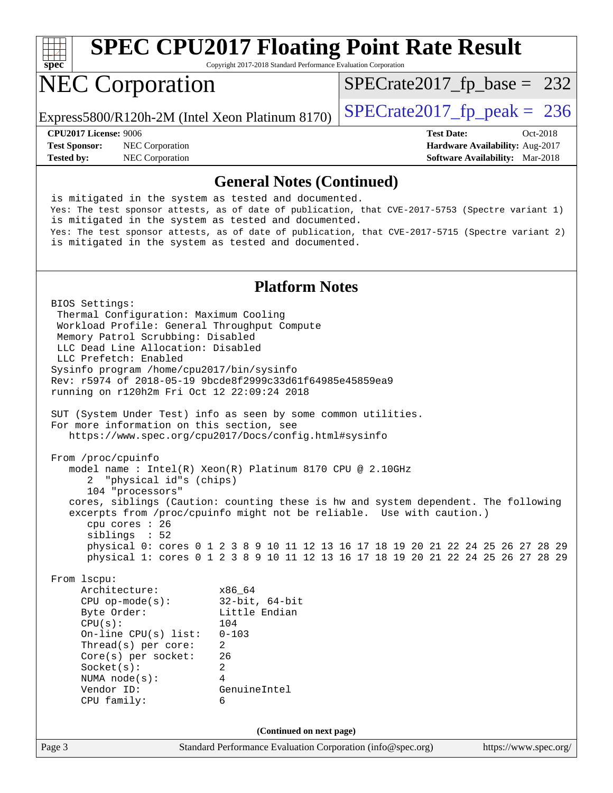

Copyright 2017-2018 Standard Performance Evaluation Corporation

# NEC Corporation

Express5800/R120h-2M (Intel Xeon Platinum 8170)  $\left|$  [SPECrate2017\\_fp\\_peak =](http://www.spec.org/auto/cpu2017/Docs/result-fields.html#SPECrate2017fppeak) 236

[SPECrate2017\\_fp\\_base =](http://www.spec.org/auto/cpu2017/Docs/result-fields.html#SPECrate2017fpbase) 232

**[CPU2017 License:](http://www.spec.org/auto/cpu2017/Docs/result-fields.html#CPU2017License)** 9006 **[Test Date:](http://www.spec.org/auto/cpu2017/Docs/result-fields.html#TestDate)** Oct-2018 **[Test Sponsor:](http://www.spec.org/auto/cpu2017/Docs/result-fields.html#TestSponsor)** NEC Corporation **[Hardware Availability:](http://www.spec.org/auto/cpu2017/Docs/result-fields.html#HardwareAvailability)** Aug-2017 **[Tested by:](http://www.spec.org/auto/cpu2017/Docs/result-fields.html#Testedby)** NEC Corporation **[Software Availability:](http://www.spec.org/auto/cpu2017/Docs/result-fields.html#SoftwareAvailability)** Mar-2018

#### **[General Notes \(Continued\)](http://www.spec.org/auto/cpu2017/Docs/result-fields.html#GeneralNotes)**

 is mitigated in the system as tested and documented. Yes: The test sponsor attests, as of date of publication, that CVE-2017-5753 (Spectre variant 1) is mitigated in the system as tested and documented. Yes: The test sponsor attests, as of date of publication, that CVE-2017-5715 (Spectre variant 2) is mitigated in the system as tested and documented.

#### **[Platform Notes](http://www.spec.org/auto/cpu2017/Docs/result-fields.html#PlatformNotes)**

Page 3 Standard Performance Evaluation Corporation [\(info@spec.org\)](mailto:info@spec.org) <https://www.spec.org/> BIOS Settings: Thermal Configuration: Maximum Cooling Workload Profile: General Throughput Compute Memory Patrol Scrubbing: Disabled LLC Dead Line Allocation: Disabled LLC Prefetch: Enabled Sysinfo program /home/cpu2017/bin/sysinfo Rev: r5974 of 2018-05-19 9bcde8f2999c33d61f64985e45859ea9 running on r120h2m Fri Oct 12 22:09:24 2018 SUT (System Under Test) info as seen by some common utilities. For more information on this section, see <https://www.spec.org/cpu2017/Docs/config.html#sysinfo> From /proc/cpuinfo model name : Intel(R) Xeon(R) Platinum 8170 CPU @ 2.10GHz 2 "physical id"s (chips) 104 "processors" cores, siblings (Caution: counting these is hw and system dependent. The following excerpts from /proc/cpuinfo might not be reliable. Use with caution.) cpu cores : 26 siblings : 52 physical 0: cores 0 1 2 3 8 9 10 11 12 13 16 17 18 19 20 21 22 24 25 26 27 28 29 physical 1: cores 0 1 2 3 8 9 10 11 12 13 16 17 18 19 20 21 22 24 25 26 27 28 29 From lscpu: Architecture: x86\_64 CPU op-mode(s): 32-bit, 64-bit Byte Order: Little Endian CPU(s): 104 On-line CPU(s) list: 0-103 Thread(s) per core: 2 Core(s) per socket: 26 Socket(s): 2 NUMA node(s): 4 Vendor ID: GenuineIntel CPU family: 6 **(Continued on next page)**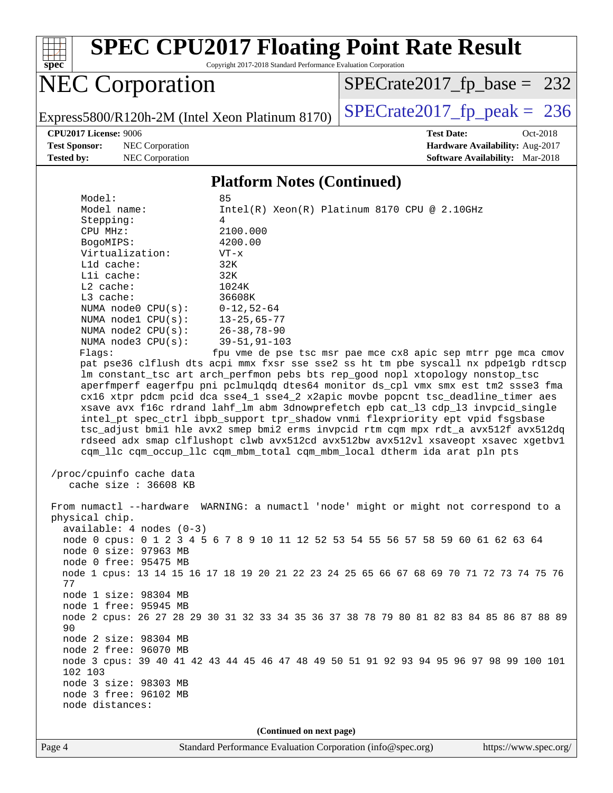

Copyright 2017-2018 Standard Performance Evaluation Corporation

# NEC Corporation

[SPECrate2017\\_fp\\_base =](http://www.spec.org/auto/cpu2017/Docs/result-fields.html#SPECrate2017fpbase) 232

Express5800/R120h-2M (Intel Xeon Platinum 8170) [SPECrate2017\\_fp\\_peak =](http://www.spec.org/auto/cpu2017/Docs/result-fields.html#SPECrate2017fppeak) 236

**[CPU2017 License:](http://www.spec.org/auto/cpu2017/Docs/result-fields.html#CPU2017License)** 9006 **[Test Date:](http://www.spec.org/auto/cpu2017/Docs/result-fields.html#TestDate)** Oct-2018

**[Tested by:](http://www.spec.org/auto/cpu2017/Docs/result-fields.html#Testedby)** NEC Corporation **[Software Availability:](http://www.spec.org/auto/cpu2017/Docs/result-fields.html#SoftwareAvailability)** Mar-2018

**[Test Sponsor:](http://www.spec.org/auto/cpu2017/Docs/result-fields.html#TestSponsor)** NEC Corporation **[Hardware Availability:](http://www.spec.org/auto/cpu2017/Docs/result-fields.html#HardwareAvailability)** Aug-2017

#### **[Platform Notes \(Continued\)](http://www.spec.org/auto/cpu2017/Docs/result-fields.html#PlatformNotes)**

| Model:                     | 85                                                                                      |
|----------------------------|-----------------------------------------------------------------------------------------|
| Model name:                | $Intel(R)$ Xeon(R) Platinum 8170 CPU @ 2.10GHz                                          |
| Stepping:                  | 4                                                                                       |
| CPU MHz:                   | 2100.000                                                                                |
| BogoMIPS:                  | 4200.00                                                                                 |
| Virtualization:            | $VT - x$                                                                                |
| L1d cache:                 | 32K                                                                                     |
| Lli cache:                 | 32K                                                                                     |
| $L2$ cache:                | 1024K                                                                                   |
| L3 cache:                  | 36608K                                                                                  |
| NUMA node0 CPU(s):         | $0 - 12, 52 - 64$                                                                       |
| NUMA nodel CPU(s):         | $13 - 25,65 - 77$                                                                       |
| NUMA $node2$ $CPU(s)$ :    | $26 - 38, 78 - 90$                                                                      |
| NUMA node3 CPU(s):         | $39 - 51, 91 - 103$                                                                     |
| Flags:                     | fpu vme de pse tsc msr pae mce cx8 apic sep mtrr pge mca cmov                           |
|                            | pat pse36 clflush dts acpi mmx fxsr sse sse2 ss ht tm pbe syscall nx pdpelgb rdtscp     |
|                            | lm constant_tsc art arch_perfmon pebs bts rep_good nopl xtopology nonstop_tsc           |
|                            | aperfmperf eagerfpu pni pclmulqdq dtes64 monitor ds_cpl vmx smx est tm2 ssse3 fma       |
|                            | cx16 xtpr pdcm pcid dca sse4_1 sse4_2 x2apic movbe popcnt tsc_deadline_timer aes        |
|                            | xsave avx f16c rdrand lahf_lm abm 3dnowprefetch epb cat_13 cdp_13 invpcid_single        |
|                            | intel_pt spec_ctrl ibpb_support tpr_shadow vnmi flexpriority ept vpid fsgsbase          |
|                            | tsc_adjust bmil hle avx2 smep bmi2 erms invpcid rtm cqm mpx rdt_a avx512f avx512dq      |
|                            | rdseed adx smap clflushopt clwb avx512cd avx512bw avx512vl xsaveopt xsavec xgetbvl      |
|                            | cqm_llc cqm_occup_llc cqm_mbm_total cqm_mbm_local dtherm ida arat pln pts               |
|                            |                                                                                         |
| /proc/cpuinfo cache data   |                                                                                         |
| cache size $: 36608$ KB    |                                                                                         |
|                            |                                                                                         |
|                            | From numactl --hardware WARNING: a numactl 'node' might or might not correspond to a    |
| physical chip.             |                                                                                         |
| $available: 4 nodes (0-3)$ |                                                                                         |
|                            | node 0 cpus: 0 1 2 3 4 5 6 7 8 9 10 11 12 52 53 54 55 56 57 58 59 60 61 62 63 64        |
| node 0 size: 97963 MB      |                                                                                         |
| node 0 free: 95475 MB      |                                                                                         |
| 77                         | node 1 cpus: 13 14 15 16 17 18 19 20 21 22 23 24 25 65 66 67 68 69 70 71 72 73 74 75 76 |
| node 1 size: 98304 MB      |                                                                                         |
| node 1 free: 95945 MB      |                                                                                         |
|                            | node 2 cpus: 26 27 28 29 30 31 32 33 34 35 36 37 38 78 79 80 81 82 83 84 85 86 87 88 89 |
| 90                         |                                                                                         |
| node 2 size: 98304 MB      |                                                                                         |
| node 2 free: 96070 MB      |                                                                                         |
|                            | node 3 cpus: 39 40 41 42 43 44 45 46 47 48 49 50 51 91 92 93 94 95 96 97 98 99 100 101  |
| 102 103                    |                                                                                         |
| node 3 size: 98303 MB      |                                                                                         |

**(Continued on next page)**

node 3 free: 96102 MB

node distances: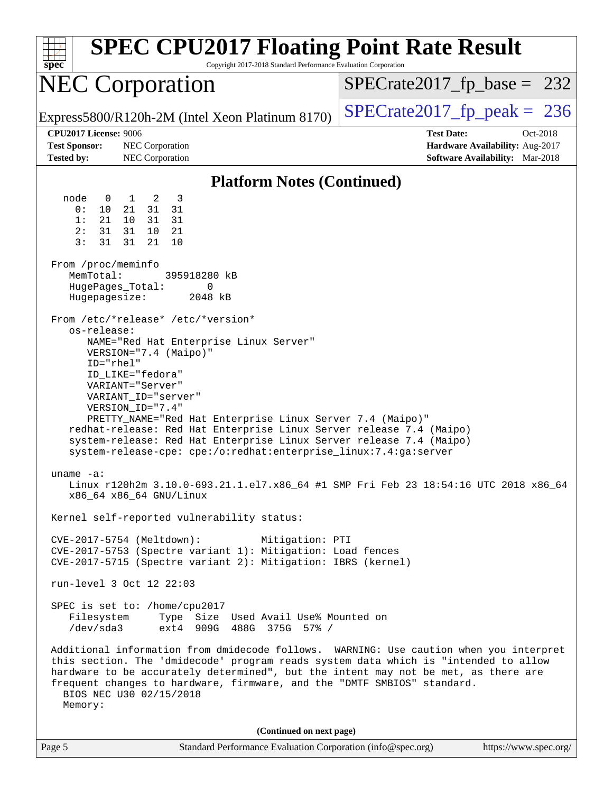| <b>SPEC CPU2017 Floating Point Rate Result</b><br>spec<br>Copyright 2017-2018 Standard Performance Evaluation Corporation                                                                                                                                                                                                                                                                                                                                                                                                                                                                                                                                                                                                                                                                                                                                                                                                                                                                                                                                                                                                                                                                                                                                                                                                                                                                                                                                                                                                                                                                                                                                                                                   |                                                                                                     |  |  |  |  |
|-------------------------------------------------------------------------------------------------------------------------------------------------------------------------------------------------------------------------------------------------------------------------------------------------------------------------------------------------------------------------------------------------------------------------------------------------------------------------------------------------------------------------------------------------------------------------------------------------------------------------------------------------------------------------------------------------------------------------------------------------------------------------------------------------------------------------------------------------------------------------------------------------------------------------------------------------------------------------------------------------------------------------------------------------------------------------------------------------------------------------------------------------------------------------------------------------------------------------------------------------------------------------------------------------------------------------------------------------------------------------------------------------------------------------------------------------------------------------------------------------------------------------------------------------------------------------------------------------------------------------------------------------------------------------------------------------------------|-----------------------------------------------------------------------------------------------------|--|--|--|--|
| <b>NEC Corporation</b>                                                                                                                                                                                                                                                                                                                                                                                                                                                                                                                                                                                                                                                                                                                                                                                                                                                                                                                                                                                                                                                                                                                                                                                                                                                                                                                                                                                                                                                                                                                                                                                                                                                                                      | $SPECrate2017_fp\_base = 232$                                                                       |  |  |  |  |
| Express5800/R120h-2M (Intel Xeon Platinum 8170)                                                                                                                                                                                                                                                                                                                                                                                                                                                                                                                                                                                                                                                                                                                                                                                                                                                                                                                                                                                                                                                                                                                                                                                                                                                                                                                                                                                                                                                                                                                                                                                                                                                             | $SPECTate2017$ _fp_peak = 236                                                                       |  |  |  |  |
| <b>CPU2017 License: 9006</b><br><b>Test Sponsor:</b><br>NEC Corporation<br><b>Tested by:</b><br>NEC Corporation                                                                                                                                                                                                                                                                                                                                                                                                                                                                                                                                                                                                                                                                                                                                                                                                                                                                                                                                                                                                                                                                                                                                                                                                                                                                                                                                                                                                                                                                                                                                                                                             | <b>Test Date:</b><br>Oct-2018<br>Hardware Availability: Aug-2017<br>Software Availability: Mar-2018 |  |  |  |  |
| <b>Platform Notes (Continued)</b>                                                                                                                                                                                                                                                                                                                                                                                                                                                                                                                                                                                                                                                                                                                                                                                                                                                                                                                                                                                                                                                                                                                                                                                                                                                                                                                                                                                                                                                                                                                                                                                                                                                                           |                                                                                                     |  |  |  |  |
| node<br>1 2<br>$\overline{\phantom{a}}$<br>$\overline{0}$<br>0 :<br>10<br>21<br>31 31<br>1:<br>10<br>21<br>31 31<br>2:<br>31<br>31<br>10 21<br>3:<br>31<br>31<br>21<br>10<br>From /proc/meminfo<br>MemTotal:<br>395918280 kB<br>HugePages_Total:<br>0<br>Hugepagesize:<br>2048 kB<br>From /etc/*release* /etc/*version*<br>os-release:<br>NAME="Red Hat Enterprise Linux Server"<br>VERSION="7.4 (Maipo)"<br>ID="rhel"<br>ID_LIKE="fedora"<br>VARIANT="Server"<br>VARIANT_ID="server"<br>VERSION_ID="7.4"<br>PRETTY_NAME="Red Hat Enterprise Linux Server 7.4 (Maipo)"<br>redhat-release: Red Hat Enterprise Linux Server release 7.4 (Maipo)<br>system-release: Red Hat Enterprise Linux Server release 7.4 (Maipo)<br>system-release-cpe: cpe:/o:redhat:enterprise_linux:7.4:ga:server<br>uname $-a$ :<br>Linux r120h2m 3.10.0-693.21.1.el7.x86_64 #1 SMP Fri Feb 23 18:54:16 UTC 2018 x86_64<br>x86_64 x86_64 GNU/Linux<br>Kernel self-reported vulnerability status:<br>CVE-2017-5754 (Meltdown):<br>Mitigation: PTI<br>CVE-2017-5753 (Spectre variant 1): Mitigation: Load fences<br>CVE-2017-5715 (Spectre variant 2): Mitigation: IBRS (kernel)<br>run-level 3 Oct 12 22:03<br>SPEC is set to: /home/cpu2017<br>Filesystem<br>Type Size Used Avail Use% Mounted on<br>ext4 909G 488G 375G 57% /<br>/dev/sda3<br>Additional information from dmidecode follows. WARNING: Use caution when you interpret<br>this section. The 'dmidecode' program reads system data which is "intended to allow<br>hardware to be accurately determined", but the intent may not be met, as there are<br>frequent changes to hardware, firmware, and the "DMTF SMBIOS" standard.<br>BIOS NEC U30 02/15/2018<br>Memory: |                                                                                                     |  |  |  |  |
| (Continued on next page)                                                                                                                                                                                                                                                                                                                                                                                                                                                                                                                                                                                                                                                                                                                                                                                                                                                                                                                                                                                                                                                                                                                                                                                                                                                                                                                                                                                                                                                                                                                                                                                                                                                                                    |                                                                                                     |  |  |  |  |
| Page 5<br>Standard Performance Evaluation Corporation (info@spec.org)                                                                                                                                                                                                                                                                                                                                                                                                                                                                                                                                                                                                                                                                                                                                                                                                                                                                                                                                                                                                                                                                                                                                                                                                                                                                                                                                                                                                                                                                                                                                                                                                                                       | https://www.spec.org/                                                                               |  |  |  |  |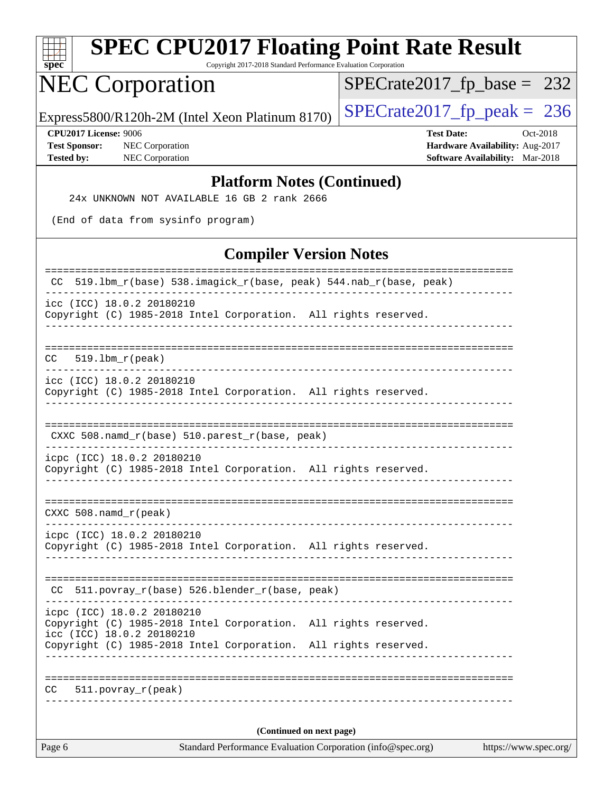| <b>SPEC CPU2017 Floating Point Rate Result</b><br>Copyright 2017-2018 Standard Performance Evaluation Corporation<br>spec  |                                                                                                            |  |  |  |  |  |
|----------------------------------------------------------------------------------------------------------------------------|------------------------------------------------------------------------------------------------------------|--|--|--|--|--|
| <b>NEC Corporation</b>                                                                                                     | $SPECrate2017_fp\_base = 232$                                                                              |  |  |  |  |  |
| Express5800/R120h-2M (Intel Xeon Platinum 8170)                                                                            | $SPECrate2017_fp\_peak = 236$                                                                              |  |  |  |  |  |
| CPU2017 License: 9006<br><b>Test Sponsor:</b><br>NEC Corporation<br><b>Tested by:</b><br>NEC Corporation                   | <b>Test Date:</b><br>Oct-2018<br>Hardware Availability: Aug-2017<br><b>Software Availability:</b> Mar-2018 |  |  |  |  |  |
| <b>Platform Notes (Continued)</b><br>24x UNKNOWN NOT AVAILABLE 16 GB 2 rank 2666                                           |                                                                                                            |  |  |  |  |  |
| (End of data from sysinfo program)                                                                                         |                                                                                                            |  |  |  |  |  |
| <b>Compiler Version Notes</b>                                                                                              |                                                                                                            |  |  |  |  |  |
| CC 519.1bm_r(base) 538.imagick_r(base, peak) 544.nab_r(base, peak)                                                         |                                                                                                            |  |  |  |  |  |
| icc (ICC) 18.0.2 20180210<br>Copyright (C) 1985-2018 Intel Corporation. All rights reserved.                               |                                                                                                            |  |  |  |  |  |
| ======================================<br>$519.1bm_r(peak)$<br>CC.                                                         |                                                                                                            |  |  |  |  |  |
| icc (ICC) 18.0.2 20180210<br>Copyright (C) 1985-2018 Intel Corporation. All rights reserved.                               |                                                                                                            |  |  |  |  |  |
| CXXC 508.namd_r(base) 510.parest_r(base, peak)                                                                             |                                                                                                            |  |  |  |  |  |
| icpc (ICC) 18.0.2 20180210<br>Copyright (C) 1985-2018 Intel Corporation. All rights reserved.                              |                                                                                                            |  |  |  |  |  |
| CXXC 508.namd_r(peak)<br>---------<br>____________________________________                                                 |                                                                                                            |  |  |  |  |  |
| icpc (ICC) 18.0.2 20180210<br>Copyright (C) 1985-2018 Intel Corporation. All rights reserved.                              |                                                                                                            |  |  |  |  |  |
| 511.povray_r(base) 526.blender_r(base, peak)<br>CC.                                                                        |                                                                                                            |  |  |  |  |  |
| icpc (ICC) 18.0.2 20180210<br>Copyright (C) 1985-2018 Intel Corporation. All rights reserved.<br>icc (ICC) 18.0.2 20180210 |                                                                                                            |  |  |  |  |  |
| Copyright (C) 1985-2018 Intel Corporation. All rights reserved.                                                            |                                                                                                            |  |  |  |  |  |
| CC.<br>$511. povray_r (peak)$                                                                                              |                                                                                                            |  |  |  |  |  |
| (Continued on next page)                                                                                                   |                                                                                                            |  |  |  |  |  |

Page 6 Standard Performance Evaluation Corporation [\(info@spec.org\)](mailto:info@spec.org) <https://www.spec.org/>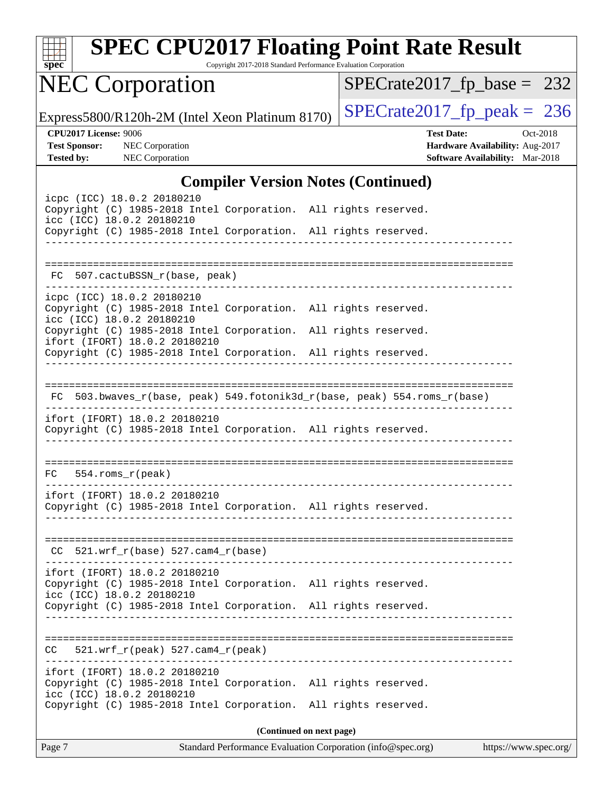

Copyright 2017-2018 Standard Performance Evaluation Corporation

# NEC Corporation

[SPECrate2017\\_fp\\_base =](http://www.spec.org/auto/cpu2017/Docs/result-fields.html#SPECrate2017fpbase) 232

Express5800/R120h-2M (Intel Xeon Platinum 8170) [SPECrate2017\\_fp\\_peak =](http://www.spec.org/auto/cpu2017/Docs/result-fields.html#SPECrate2017fppeak) 236

**[Tested by:](http://www.spec.org/auto/cpu2017/Docs/result-fields.html#Testedby)** NEC Corporation **[Software Availability:](http://www.spec.org/auto/cpu2017/Docs/result-fields.html#SoftwareAvailability)** Mar-2018

**[CPU2017 License:](http://www.spec.org/auto/cpu2017/Docs/result-fields.html#CPU2017License)** 9006 **[Test Date:](http://www.spec.org/auto/cpu2017/Docs/result-fields.html#TestDate)** Oct-2018 **[Test Sponsor:](http://www.spec.org/auto/cpu2017/Docs/result-fields.html#TestSponsor)** NEC Corporation **[Hardware Availability:](http://www.spec.org/auto/cpu2017/Docs/result-fields.html#HardwareAvailability)** Aug-2017

#### **[Compiler Version Notes \(Continued\)](http://www.spec.org/auto/cpu2017/Docs/result-fields.html#CompilerVersionNotes)**

| Page 7                                                                                                                                                                      | Standard Performance Evaluation Corporation (info@spec.org)<br>https://www.spec.org/ |
|-----------------------------------------------------------------------------------------------------------------------------------------------------------------------------|--------------------------------------------------------------------------------------|
|                                                                                                                                                                             | (Continued on next page)                                                             |
| ifort (IFORT) 18.0.2 20180210<br>Copyright (C) 1985-2018 Intel Corporation. All rights reserved.<br>icc (ICC) 18.0.2 20180210<br>Copyright (C) 1985-2018 Intel Corporation. | All rights reserved.                                                                 |
| $521.wrf_r(peak) 527.cam4_r(peak)$<br>CC.                                                                                                                                   |                                                                                      |
|                                                                                                                                                                             |                                                                                      |
| Copyright (C) 1985-2018 Intel Corporation. All rights reserved.                                                                                                             |                                                                                      |
| ifort (IFORT) 18.0.2 20180210<br>Copyright (C) 1985-2018 Intel Corporation. All rights reserved.<br>icc (ICC) 18.0.2 20180210                                               |                                                                                      |
| $CC$ 521.wrf_r(base) 527.cam4_r(base)                                                                                                                                       |                                                                                      |
|                                                                                                                                                                             |                                                                                      |
| ifort (IFORT) 18.0.2 20180210<br>Copyright (C) 1985-2018 Intel Corporation. All rights reserved.                                                                            |                                                                                      |
| $FC$ 554.roms $_r$ (peak)                                                                                                                                                   |                                                                                      |
| ifort (IFORT) 18.0.2 20180210<br>Copyright (C) 1985-2018 Intel Corporation. All rights reserved.                                                                            |                                                                                      |
| FC 503.bwaves_r(base, peak) 549.fotonik3d_r(base, peak) 554.roms_r(base)                                                                                                    |                                                                                      |
| Copyright (C) 1985-2018 Intel Corporation. All rights reserved.                                                                                                             |                                                                                      |
| icc (ICC) 18.0.2 20180210<br>Copyright (C) 1985-2018 Intel Corporation. All rights reserved.<br>ifort (IFORT) 18.0.2 20180210                                               |                                                                                      |
| icpc (ICC) 18.0.2 20180210<br>Copyright (C) 1985-2018 Intel Corporation. All rights reserved.                                                                               |                                                                                      |
| FC 507.cactuBSSN_r(base, peak)                                                                                                                                              |                                                                                      |
|                                                                                                                                                                             |                                                                                      |
| icc (ICC) 18.0.2 20180210<br>Copyright (C) 1985-2018 Intel Corporation. All rights reserved.                                                                                |                                                                                      |
| icpc (ICC) 18.0.2 20180210<br>Copyright (C) 1985-2018 Intel Corporation. All rights reserved.                                                                               |                                                                                      |
|                                                                                                                                                                             |                                                                                      |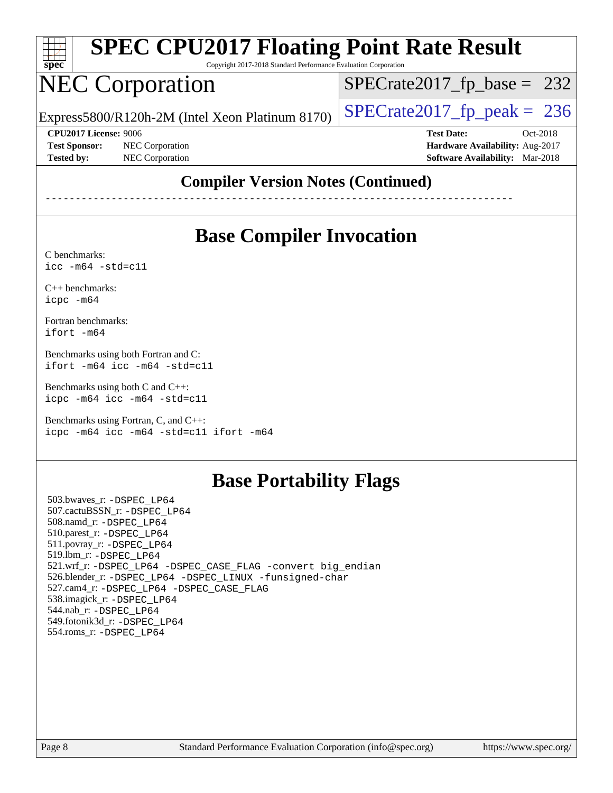

Copyright 2017-2018 Standard Performance Evaluation Corporation

# NEC Corporation

Express5800/R120h-2M (Intel Xeon Platinum 8170)  $\left|$  [SPECrate2017\\_fp\\_peak =](http://www.spec.org/auto/cpu2017/Docs/result-fields.html#SPECrate2017fppeak) 236

 $SPECTate2017_fp\_base = 232$ 

**[CPU2017 License:](http://www.spec.org/auto/cpu2017/Docs/result-fields.html#CPU2017License)** 9006 **[Test Date:](http://www.spec.org/auto/cpu2017/Docs/result-fields.html#TestDate)** Oct-2018 **[Test Sponsor:](http://www.spec.org/auto/cpu2017/Docs/result-fields.html#TestSponsor)** NEC Corporation **[Hardware Availability:](http://www.spec.org/auto/cpu2017/Docs/result-fields.html#HardwareAvailability)** Aug-2017 **[Tested by:](http://www.spec.org/auto/cpu2017/Docs/result-fields.html#Testedby)** NEC Corporation **[Software Availability:](http://www.spec.org/auto/cpu2017/Docs/result-fields.html#SoftwareAvailability)** Mar-2018

### **[Compiler Version Notes \(Continued\)](http://www.spec.org/auto/cpu2017/Docs/result-fields.html#CompilerVersionNotes)**

------------------------------------------------------------------------------

## **[Base Compiler Invocation](http://www.spec.org/auto/cpu2017/Docs/result-fields.html#BaseCompilerInvocation)**

[C benchmarks](http://www.spec.org/auto/cpu2017/Docs/result-fields.html#Cbenchmarks): [icc -m64 -std=c11](http://www.spec.org/cpu2017/results/res2018q4/cpu2017-20181015-09193.flags.html#user_CCbase_intel_icc_64bit_c11_33ee0cdaae7deeeab2a9725423ba97205ce30f63b9926c2519791662299b76a0318f32ddfffdc46587804de3178b4f9328c46fa7c2b0cd779d7a61945c91cd35)

[C++ benchmarks:](http://www.spec.org/auto/cpu2017/Docs/result-fields.html#CXXbenchmarks) [icpc -m64](http://www.spec.org/cpu2017/results/res2018q4/cpu2017-20181015-09193.flags.html#user_CXXbase_intel_icpc_64bit_4ecb2543ae3f1412ef961e0650ca070fec7b7afdcd6ed48761b84423119d1bf6bdf5cad15b44d48e7256388bc77273b966e5eb805aefd121eb22e9299b2ec9d9)

[Fortran benchmarks](http://www.spec.org/auto/cpu2017/Docs/result-fields.html#Fortranbenchmarks): [ifort -m64](http://www.spec.org/cpu2017/results/res2018q4/cpu2017-20181015-09193.flags.html#user_FCbase_intel_ifort_64bit_24f2bb282fbaeffd6157abe4f878425411749daecae9a33200eee2bee2fe76f3b89351d69a8130dd5949958ce389cf37ff59a95e7a40d588e8d3a57e0c3fd751)

[Benchmarks using both Fortran and C](http://www.spec.org/auto/cpu2017/Docs/result-fields.html#BenchmarksusingbothFortranandC): [ifort -m64](http://www.spec.org/cpu2017/results/res2018q4/cpu2017-20181015-09193.flags.html#user_CC_FCbase_intel_ifort_64bit_24f2bb282fbaeffd6157abe4f878425411749daecae9a33200eee2bee2fe76f3b89351d69a8130dd5949958ce389cf37ff59a95e7a40d588e8d3a57e0c3fd751) [icc -m64 -std=c11](http://www.spec.org/cpu2017/results/res2018q4/cpu2017-20181015-09193.flags.html#user_CC_FCbase_intel_icc_64bit_c11_33ee0cdaae7deeeab2a9725423ba97205ce30f63b9926c2519791662299b76a0318f32ddfffdc46587804de3178b4f9328c46fa7c2b0cd779d7a61945c91cd35)

[Benchmarks using both C and C++](http://www.spec.org/auto/cpu2017/Docs/result-fields.html#BenchmarksusingbothCandCXX): [icpc -m64](http://www.spec.org/cpu2017/results/res2018q4/cpu2017-20181015-09193.flags.html#user_CC_CXXbase_intel_icpc_64bit_4ecb2543ae3f1412ef961e0650ca070fec7b7afdcd6ed48761b84423119d1bf6bdf5cad15b44d48e7256388bc77273b966e5eb805aefd121eb22e9299b2ec9d9) [icc -m64 -std=c11](http://www.spec.org/cpu2017/results/res2018q4/cpu2017-20181015-09193.flags.html#user_CC_CXXbase_intel_icc_64bit_c11_33ee0cdaae7deeeab2a9725423ba97205ce30f63b9926c2519791662299b76a0318f32ddfffdc46587804de3178b4f9328c46fa7c2b0cd779d7a61945c91cd35)

[Benchmarks using Fortran, C, and C++:](http://www.spec.org/auto/cpu2017/Docs/result-fields.html#BenchmarksusingFortranCandCXX) [icpc -m64](http://www.spec.org/cpu2017/results/res2018q4/cpu2017-20181015-09193.flags.html#user_CC_CXX_FCbase_intel_icpc_64bit_4ecb2543ae3f1412ef961e0650ca070fec7b7afdcd6ed48761b84423119d1bf6bdf5cad15b44d48e7256388bc77273b966e5eb805aefd121eb22e9299b2ec9d9) [icc -m64 -std=c11](http://www.spec.org/cpu2017/results/res2018q4/cpu2017-20181015-09193.flags.html#user_CC_CXX_FCbase_intel_icc_64bit_c11_33ee0cdaae7deeeab2a9725423ba97205ce30f63b9926c2519791662299b76a0318f32ddfffdc46587804de3178b4f9328c46fa7c2b0cd779d7a61945c91cd35) [ifort -m64](http://www.spec.org/cpu2017/results/res2018q4/cpu2017-20181015-09193.flags.html#user_CC_CXX_FCbase_intel_ifort_64bit_24f2bb282fbaeffd6157abe4f878425411749daecae9a33200eee2bee2fe76f3b89351d69a8130dd5949958ce389cf37ff59a95e7a40d588e8d3a57e0c3fd751)

## **[Base Portability Flags](http://www.spec.org/auto/cpu2017/Docs/result-fields.html#BasePortabilityFlags)**

 503.bwaves\_r: [-DSPEC\\_LP64](http://www.spec.org/cpu2017/results/res2018q4/cpu2017-20181015-09193.flags.html#suite_basePORTABILITY503_bwaves_r_DSPEC_LP64) 507.cactuBSSN\_r: [-DSPEC\\_LP64](http://www.spec.org/cpu2017/results/res2018q4/cpu2017-20181015-09193.flags.html#suite_basePORTABILITY507_cactuBSSN_r_DSPEC_LP64) 508.namd\_r: [-DSPEC\\_LP64](http://www.spec.org/cpu2017/results/res2018q4/cpu2017-20181015-09193.flags.html#suite_basePORTABILITY508_namd_r_DSPEC_LP64) 510.parest\_r: [-DSPEC\\_LP64](http://www.spec.org/cpu2017/results/res2018q4/cpu2017-20181015-09193.flags.html#suite_basePORTABILITY510_parest_r_DSPEC_LP64) 511.povray\_r: [-DSPEC\\_LP64](http://www.spec.org/cpu2017/results/res2018q4/cpu2017-20181015-09193.flags.html#suite_basePORTABILITY511_povray_r_DSPEC_LP64) 519.lbm\_r: [-DSPEC\\_LP64](http://www.spec.org/cpu2017/results/res2018q4/cpu2017-20181015-09193.flags.html#suite_basePORTABILITY519_lbm_r_DSPEC_LP64) 521.wrf\_r: [-DSPEC\\_LP64](http://www.spec.org/cpu2017/results/res2018q4/cpu2017-20181015-09193.flags.html#suite_basePORTABILITY521_wrf_r_DSPEC_LP64) [-DSPEC\\_CASE\\_FLAG](http://www.spec.org/cpu2017/results/res2018q4/cpu2017-20181015-09193.flags.html#b521.wrf_r_baseCPORTABILITY_DSPEC_CASE_FLAG) [-convert big\\_endian](http://www.spec.org/cpu2017/results/res2018q4/cpu2017-20181015-09193.flags.html#user_baseFPORTABILITY521_wrf_r_convert_big_endian_c3194028bc08c63ac5d04de18c48ce6d347e4e562e8892b8bdbdc0214820426deb8554edfa529a3fb25a586e65a3d812c835984020483e7e73212c4d31a38223) 526.blender\_r: [-DSPEC\\_LP64](http://www.spec.org/cpu2017/results/res2018q4/cpu2017-20181015-09193.flags.html#suite_basePORTABILITY526_blender_r_DSPEC_LP64) [-DSPEC\\_LINUX](http://www.spec.org/cpu2017/results/res2018q4/cpu2017-20181015-09193.flags.html#b526.blender_r_baseCPORTABILITY_DSPEC_LINUX) [-funsigned-char](http://www.spec.org/cpu2017/results/res2018q4/cpu2017-20181015-09193.flags.html#user_baseCPORTABILITY526_blender_r_force_uchar_40c60f00ab013830e2dd6774aeded3ff59883ba5a1fc5fc14077f794d777847726e2a5858cbc7672e36e1b067e7e5c1d9a74f7176df07886a243d7cc18edfe67) 527.cam4\_r: [-DSPEC\\_LP64](http://www.spec.org/cpu2017/results/res2018q4/cpu2017-20181015-09193.flags.html#suite_basePORTABILITY527_cam4_r_DSPEC_LP64) [-DSPEC\\_CASE\\_FLAG](http://www.spec.org/cpu2017/results/res2018q4/cpu2017-20181015-09193.flags.html#b527.cam4_r_baseCPORTABILITY_DSPEC_CASE_FLAG) 538.imagick\_r: [-DSPEC\\_LP64](http://www.spec.org/cpu2017/results/res2018q4/cpu2017-20181015-09193.flags.html#suite_basePORTABILITY538_imagick_r_DSPEC_LP64) 544.nab\_r: [-DSPEC\\_LP64](http://www.spec.org/cpu2017/results/res2018q4/cpu2017-20181015-09193.flags.html#suite_basePORTABILITY544_nab_r_DSPEC_LP64) 549.fotonik3d\_r: [-DSPEC\\_LP64](http://www.spec.org/cpu2017/results/res2018q4/cpu2017-20181015-09193.flags.html#suite_basePORTABILITY549_fotonik3d_r_DSPEC_LP64) 554.roms\_r: [-DSPEC\\_LP64](http://www.spec.org/cpu2017/results/res2018q4/cpu2017-20181015-09193.flags.html#suite_basePORTABILITY554_roms_r_DSPEC_LP64)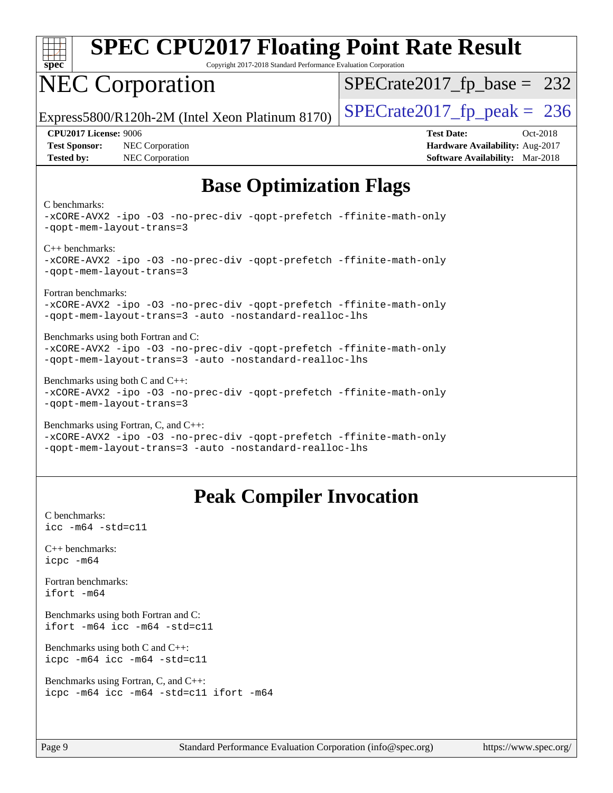

Copyright 2017-2018 Standard Performance Evaluation Corporation

# NEC Corporation

 $SPECTate2017_fp\_base = 232$ 

Express5800/R120h-2M (Intel Xeon Platinum 8170)  $\left|$  [SPECrate2017\\_fp\\_peak =](http://www.spec.org/auto/cpu2017/Docs/result-fields.html#SPECrate2017fppeak) 236

**[Test Sponsor:](http://www.spec.org/auto/cpu2017/Docs/result-fields.html#TestSponsor)** NEC Corporation **[Hardware Availability:](http://www.spec.org/auto/cpu2017/Docs/result-fields.html#HardwareAvailability)** Aug-2017 **[Tested by:](http://www.spec.org/auto/cpu2017/Docs/result-fields.html#Testedby)** NEC Corporation **[Software Availability:](http://www.spec.org/auto/cpu2017/Docs/result-fields.html#SoftwareAvailability)** Mar-2018

**[CPU2017 License:](http://www.spec.org/auto/cpu2017/Docs/result-fields.html#CPU2017License)** 9006 **[Test Date:](http://www.spec.org/auto/cpu2017/Docs/result-fields.html#TestDate)** Oct-2018

## **[Base Optimization Flags](http://www.spec.org/auto/cpu2017/Docs/result-fields.html#BaseOptimizationFlags)**

#### [C benchmarks](http://www.spec.org/auto/cpu2017/Docs/result-fields.html#Cbenchmarks):

[-xCORE-AVX2](http://www.spec.org/cpu2017/results/res2018q4/cpu2017-20181015-09193.flags.html#user_CCbase_f-xCORE-AVX2) [-ipo](http://www.spec.org/cpu2017/results/res2018q4/cpu2017-20181015-09193.flags.html#user_CCbase_f-ipo) [-O3](http://www.spec.org/cpu2017/results/res2018q4/cpu2017-20181015-09193.flags.html#user_CCbase_f-O3) [-no-prec-div](http://www.spec.org/cpu2017/results/res2018q4/cpu2017-20181015-09193.flags.html#user_CCbase_f-no-prec-div) [-qopt-prefetch](http://www.spec.org/cpu2017/results/res2018q4/cpu2017-20181015-09193.flags.html#user_CCbase_f-qopt-prefetch) [-ffinite-math-only](http://www.spec.org/cpu2017/results/res2018q4/cpu2017-20181015-09193.flags.html#user_CCbase_f_finite_math_only_cb91587bd2077682c4b38af759c288ed7c732db004271a9512da14a4f8007909a5f1427ecbf1a0fb78ff2a814402c6114ac565ca162485bbcae155b5e4258871) [-qopt-mem-layout-trans=3](http://www.spec.org/cpu2017/results/res2018q4/cpu2017-20181015-09193.flags.html#user_CCbase_f-qopt-mem-layout-trans_de80db37974c74b1f0e20d883f0b675c88c3b01e9d123adea9b28688d64333345fb62bc4a798493513fdb68f60282f9a726aa07f478b2f7113531aecce732043) [C++ benchmarks:](http://www.spec.org/auto/cpu2017/Docs/result-fields.html#CXXbenchmarks) [-xCORE-AVX2](http://www.spec.org/cpu2017/results/res2018q4/cpu2017-20181015-09193.flags.html#user_CXXbase_f-xCORE-AVX2) [-ipo](http://www.spec.org/cpu2017/results/res2018q4/cpu2017-20181015-09193.flags.html#user_CXXbase_f-ipo) [-O3](http://www.spec.org/cpu2017/results/res2018q4/cpu2017-20181015-09193.flags.html#user_CXXbase_f-O3) [-no-prec-div](http://www.spec.org/cpu2017/results/res2018q4/cpu2017-20181015-09193.flags.html#user_CXXbase_f-no-prec-div) [-qopt-prefetch](http://www.spec.org/cpu2017/results/res2018q4/cpu2017-20181015-09193.flags.html#user_CXXbase_f-qopt-prefetch) [-ffinite-math-only](http://www.spec.org/cpu2017/results/res2018q4/cpu2017-20181015-09193.flags.html#user_CXXbase_f_finite_math_only_cb91587bd2077682c4b38af759c288ed7c732db004271a9512da14a4f8007909a5f1427ecbf1a0fb78ff2a814402c6114ac565ca162485bbcae155b5e4258871) [-qopt-mem-layout-trans=3](http://www.spec.org/cpu2017/results/res2018q4/cpu2017-20181015-09193.flags.html#user_CXXbase_f-qopt-mem-layout-trans_de80db37974c74b1f0e20d883f0b675c88c3b01e9d123adea9b28688d64333345fb62bc4a798493513fdb68f60282f9a726aa07f478b2f7113531aecce732043) [Fortran benchmarks](http://www.spec.org/auto/cpu2017/Docs/result-fields.html#Fortranbenchmarks): [-xCORE-AVX2](http://www.spec.org/cpu2017/results/res2018q4/cpu2017-20181015-09193.flags.html#user_FCbase_f-xCORE-AVX2) [-ipo](http://www.spec.org/cpu2017/results/res2018q4/cpu2017-20181015-09193.flags.html#user_FCbase_f-ipo) [-O3](http://www.spec.org/cpu2017/results/res2018q4/cpu2017-20181015-09193.flags.html#user_FCbase_f-O3) [-no-prec-div](http://www.spec.org/cpu2017/results/res2018q4/cpu2017-20181015-09193.flags.html#user_FCbase_f-no-prec-div) [-qopt-prefetch](http://www.spec.org/cpu2017/results/res2018q4/cpu2017-20181015-09193.flags.html#user_FCbase_f-qopt-prefetch) [-ffinite-math-only](http://www.spec.org/cpu2017/results/res2018q4/cpu2017-20181015-09193.flags.html#user_FCbase_f_finite_math_only_cb91587bd2077682c4b38af759c288ed7c732db004271a9512da14a4f8007909a5f1427ecbf1a0fb78ff2a814402c6114ac565ca162485bbcae155b5e4258871) [-qopt-mem-layout-trans=3](http://www.spec.org/cpu2017/results/res2018q4/cpu2017-20181015-09193.flags.html#user_FCbase_f-qopt-mem-layout-trans_de80db37974c74b1f0e20d883f0b675c88c3b01e9d123adea9b28688d64333345fb62bc4a798493513fdb68f60282f9a726aa07f478b2f7113531aecce732043) [-auto](http://www.spec.org/cpu2017/results/res2018q4/cpu2017-20181015-09193.flags.html#user_FCbase_f-auto) [-nostandard-realloc-lhs](http://www.spec.org/cpu2017/results/res2018q4/cpu2017-20181015-09193.flags.html#user_FCbase_f_2003_std_realloc_82b4557e90729c0f113870c07e44d33d6f5a304b4f63d4c15d2d0f1fab99f5daaed73bdb9275d9ae411527f28b936061aa8b9c8f2d63842963b95c9dd6426b8a) [Benchmarks using both Fortran and C](http://www.spec.org/auto/cpu2017/Docs/result-fields.html#BenchmarksusingbothFortranandC): [-xCORE-AVX2](http://www.spec.org/cpu2017/results/res2018q4/cpu2017-20181015-09193.flags.html#user_CC_FCbase_f-xCORE-AVX2) [-ipo](http://www.spec.org/cpu2017/results/res2018q4/cpu2017-20181015-09193.flags.html#user_CC_FCbase_f-ipo) [-O3](http://www.spec.org/cpu2017/results/res2018q4/cpu2017-20181015-09193.flags.html#user_CC_FCbase_f-O3) [-no-prec-div](http://www.spec.org/cpu2017/results/res2018q4/cpu2017-20181015-09193.flags.html#user_CC_FCbase_f-no-prec-div) [-qopt-prefetch](http://www.spec.org/cpu2017/results/res2018q4/cpu2017-20181015-09193.flags.html#user_CC_FCbase_f-qopt-prefetch) [-ffinite-math-only](http://www.spec.org/cpu2017/results/res2018q4/cpu2017-20181015-09193.flags.html#user_CC_FCbase_f_finite_math_only_cb91587bd2077682c4b38af759c288ed7c732db004271a9512da14a4f8007909a5f1427ecbf1a0fb78ff2a814402c6114ac565ca162485bbcae155b5e4258871) [-qopt-mem-layout-trans=3](http://www.spec.org/cpu2017/results/res2018q4/cpu2017-20181015-09193.flags.html#user_CC_FCbase_f-qopt-mem-layout-trans_de80db37974c74b1f0e20d883f0b675c88c3b01e9d123adea9b28688d64333345fb62bc4a798493513fdb68f60282f9a726aa07f478b2f7113531aecce732043) [-auto](http://www.spec.org/cpu2017/results/res2018q4/cpu2017-20181015-09193.flags.html#user_CC_FCbase_f-auto) [-nostandard-realloc-lhs](http://www.spec.org/cpu2017/results/res2018q4/cpu2017-20181015-09193.flags.html#user_CC_FCbase_f_2003_std_realloc_82b4557e90729c0f113870c07e44d33d6f5a304b4f63d4c15d2d0f1fab99f5daaed73bdb9275d9ae411527f28b936061aa8b9c8f2d63842963b95c9dd6426b8a) [Benchmarks using both C and C++:](http://www.spec.org/auto/cpu2017/Docs/result-fields.html#BenchmarksusingbothCandCXX) [-xCORE-AVX2](http://www.spec.org/cpu2017/results/res2018q4/cpu2017-20181015-09193.flags.html#user_CC_CXXbase_f-xCORE-AVX2) [-ipo](http://www.spec.org/cpu2017/results/res2018q4/cpu2017-20181015-09193.flags.html#user_CC_CXXbase_f-ipo) [-O3](http://www.spec.org/cpu2017/results/res2018q4/cpu2017-20181015-09193.flags.html#user_CC_CXXbase_f-O3) [-no-prec-div](http://www.spec.org/cpu2017/results/res2018q4/cpu2017-20181015-09193.flags.html#user_CC_CXXbase_f-no-prec-div) [-qopt-prefetch](http://www.spec.org/cpu2017/results/res2018q4/cpu2017-20181015-09193.flags.html#user_CC_CXXbase_f-qopt-prefetch) [-ffinite-math-only](http://www.spec.org/cpu2017/results/res2018q4/cpu2017-20181015-09193.flags.html#user_CC_CXXbase_f_finite_math_only_cb91587bd2077682c4b38af759c288ed7c732db004271a9512da14a4f8007909a5f1427ecbf1a0fb78ff2a814402c6114ac565ca162485bbcae155b5e4258871) [-qopt-mem-layout-trans=3](http://www.spec.org/cpu2017/results/res2018q4/cpu2017-20181015-09193.flags.html#user_CC_CXXbase_f-qopt-mem-layout-trans_de80db37974c74b1f0e20d883f0b675c88c3b01e9d123adea9b28688d64333345fb62bc4a798493513fdb68f60282f9a726aa07f478b2f7113531aecce732043)

[Benchmarks using Fortran, C, and C++](http://www.spec.org/auto/cpu2017/Docs/result-fields.html#BenchmarksusingFortranCandCXX): [-xCORE-AVX2](http://www.spec.org/cpu2017/results/res2018q4/cpu2017-20181015-09193.flags.html#user_CC_CXX_FCbase_f-xCORE-AVX2) [-ipo](http://www.spec.org/cpu2017/results/res2018q4/cpu2017-20181015-09193.flags.html#user_CC_CXX_FCbase_f-ipo) [-O3](http://www.spec.org/cpu2017/results/res2018q4/cpu2017-20181015-09193.flags.html#user_CC_CXX_FCbase_f-O3) [-no-prec-div](http://www.spec.org/cpu2017/results/res2018q4/cpu2017-20181015-09193.flags.html#user_CC_CXX_FCbase_f-no-prec-div) [-qopt-prefetch](http://www.spec.org/cpu2017/results/res2018q4/cpu2017-20181015-09193.flags.html#user_CC_CXX_FCbase_f-qopt-prefetch) [-ffinite-math-only](http://www.spec.org/cpu2017/results/res2018q4/cpu2017-20181015-09193.flags.html#user_CC_CXX_FCbase_f_finite_math_only_cb91587bd2077682c4b38af759c288ed7c732db004271a9512da14a4f8007909a5f1427ecbf1a0fb78ff2a814402c6114ac565ca162485bbcae155b5e4258871) [-qopt-mem-layout-trans=3](http://www.spec.org/cpu2017/results/res2018q4/cpu2017-20181015-09193.flags.html#user_CC_CXX_FCbase_f-qopt-mem-layout-trans_de80db37974c74b1f0e20d883f0b675c88c3b01e9d123adea9b28688d64333345fb62bc4a798493513fdb68f60282f9a726aa07f478b2f7113531aecce732043) [-auto](http://www.spec.org/cpu2017/results/res2018q4/cpu2017-20181015-09193.flags.html#user_CC_CXX_FCbase_f-auto) [-nostandard-realloc-lhs](http://www.spec.org/cpu2017/results/res2018q4/cpu2017-20181015-09193.flags.html#user_CC_CXX_FCbase_f_2003_std_realloc_82b4557e90729c0f113870c07e44d33d6f5a304b4f63d4c15d2d0f1fab99f5daaed73bdb9275d9ae411527f28b936061aa8b9c8f2d63842963b95c9dd6426b8a)

## **[Peak Compiler Invocation](http://www.spec.org/auto/cpu2017/Docs/result-fields.html#PeakCompilerInvocation)**

[C benchmarks](http://www.spec.org/auto/cpu2017/Docs/result-fields.html#Cbenchmarks): [icc -m64 -std=c11](http://www.spec.org/cpu2017/results/res2018q4/cpu2017-20181015-09193.flags.html#user_CCpeak_intel_icc_64bit_c11_33ee0cdaae7deeeab2a9725423ba97205ce30f63b9926c2519791662299b76a0318f32ddfffdc46587804de3178b4f9328c46fa7c2b0cd779d7a61945c91cd35)

[C++ benchmarks:](http://www.spec.org/auto/cpu2017/Docs/result-fields.html#CXXbenchmarks) [icpc -m64](http://www.spec.org/cpu2017/results/res2018q4/cpu2017-20181015-09193.flags.html#user_CXXpeak_intel_icpc_64bit_4ecb2543ae3f1412ef961e0650ca070fec7b7afdcd6ed48761b84423119d1bf6bdf5cad15b44d48e7256388bc77273b966e5eb805aefd121eb22e9299b2ec9d9)

[Fortran benchmarks](http://www.spec.org/auto/cpu2017/Docs/result-fields.html#Fortranbenchmarks): [ifort -m64](http://www.spec.org/cpu2017/results/res2018q4/cpu2017-20181015-09193.flags.html#user_FCpeak_intel_ifort_64bit_24f2bb282fbaeffd6157abe4f878425411749daecae9a33200eee2bee2fe76f3b89351d69a8130dd5949958ce389cf37ff59a95e7a40d588e8d3a57e0c3fd751)

[Benchmarks using both Fortran and C](http://www.spec.org/auto/cpu2017/Docs/result-fields.html#BenchmarksusingbothFortranandC): [ifort -m64](http://www.spec.org/cpu2017/results/res2018q4/cpu2017-20181015-09193.flags.html#user_CC_FCpeak_intel_ifort_64bit_24f2bb282fbaeffd6157abe4f878425411749daecae9a33200eee2bee2fe76f3b89351d69a8130dd5949958ce389cf37ff59a95e7a40d588e8d3a57e0c3fd751) [icc -m64 -std=c11](http://www.spec.org/cpu2017/results/res2018q4/cpu2017-20181015-09193.flags.html#user_CC_FCpeak_intel_icc_64bit_c11_33ee0cdaae7deeeab2a9725423ba97205ce30f63b9926c2519791662299b76a0318f32ddfffdc46587804de3178b4f9328c46fa7c2b0cd779d7a61945c91cd35)

[Benchmarks using both C and C++](http://www.spec.org/auto/cpu2017/Docs/result-fields.html#BenchmarksusingbothCandCXX): [icpc -m64](http://www.spec.org/cpu2017/results/res2018q4/cpu2017-20181015-09193.flags.html#user_CC_CXXpeak_intel_icpc_64bit_4ecb2543ae3f1412ef961e0650ca070fec7b7afdcd6ed48761b84423119d1bf6bdf5cad15b44d48e7256388bc77273b966e5eb805aefd121eb22e9299b2ec9d9) [icc -m64 -std=c11](http://www.spec.org/cpu2017/results/res2018q4/cpu2017-20181015-09193.flags.html#user_CC_CXXpeak_intel_icc_64bit_c11_33ee0cdaae7deeeab2a9725423ba97205ce30f63b9926c2519791662299b76a0318f32ddfffdc46587804de3178b4f9328c46fa7c2b0cd779d7a61945c91cd35)

[Benchmarks using Fortran, C, and C++:](http://www.spec.org/auto/cpu2017/Docs/result-fields.html#BenchmarksusingFortranCandCXX) [icpc -m64](http://www.spec.org/cpu2017/results/res2018q4/cpu2017-20181015-09193.flags.html#user_CC_CXX_FCpeak_intel_icpc_64bit_4ecb2543ae3f1412ef961e0650ca070fec7b7afdcd6ed48761b84423119d1bf6bdf5cad15b44d48e7256388bc77273b966e5eb805aefd121eb22e9299b2ec9d9) [icc -m64 -std=c11](http://www.spec.org/cpu2017/results/res2018q4/cpu2017-20181015-09193.flags.html#user_CC_CXX_FCpeak_intel_icc_64bit_c11_33ee0cdaae7deeeab2a9725423ba97205ce30f63b9926c2519791662299b76a0318f32ddfffdc46587804de3178b4f9328c46fa7c2b0cd779d7a61945c91cd35) [ifort -m64](http://www.spec.org/cpu2017/results/res2018q4/cpu2017-20181015-09193.flags.html#user_CC_CXX_FCpeak_intel_ifort_64bit_24f2bb282fbaeffd6157abe4f878425411749daecae9a33200eee2bee2fe76f3b89351d69a8130dd5949958ce389cf37ff59a95e7a40d588e8d3a57e0c3fd751)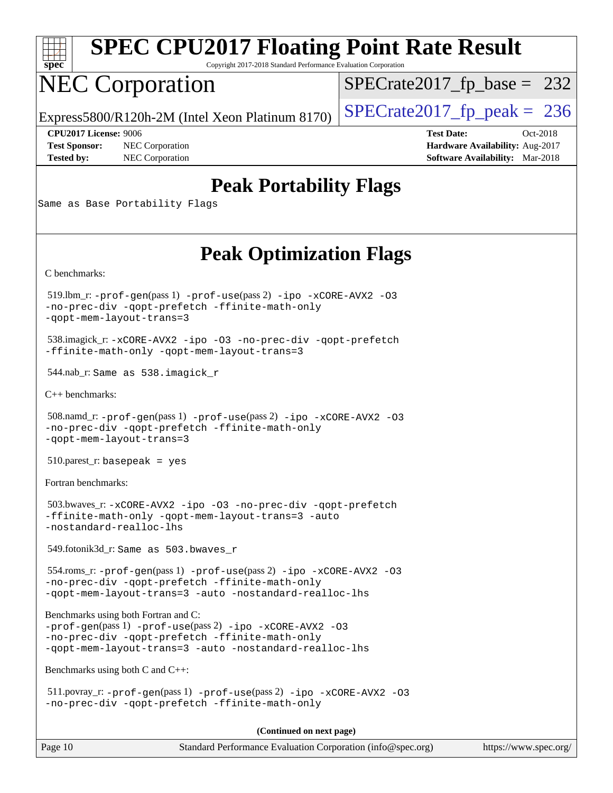

Copyright 2017-2018 Standard Performance Evaluation Corporation

# NEC Corporation

[SPECrate2017\\_fp\\_base =](http://www.spec.org/auto/cpu2017/Docs/result-fields.html#SPECrate2017fpbase) 232

Express5800/R120h-2M (Intel Xeon Platinum 8170)  $\left|$  [SPECrate2017\\_fp\\_peak =](http://www.spec.org/auto/cpu2017/Docs/result-fields.html#SPECrate2017fppeak) 236

**[Tested by:](http://www.spec.org/auto/cpu2017/Docs/result-fields.html#Testedby)** NEC Corporation **[Software Availability:](http://www.spec.org/auto/cpu2017/Docs/result-fields.html#SoftwareAvailability)** Mar-2018

**[CPU2017 License:](http://www.spec.org/auto/cpu2017/Docs/result-fields.html#CPU2017License)** 9006 **[Test Date:](http://www.spec.org/auto/cpu2017/Docs/result-fields.html#TestDate)** Oct-2018 **[Test Sponsor:](http://www.spec.org/auto/cpu2017/Docs/result-fields.html#TestSponsor)** NEC Corporation **[Hardware Availability:](http://www.spec.org/auto/cpu2017/Docs/result-fields.html#HardwareAvailability)** Aug-2017

## **[Peak Portability Flags](http://www.spec.org/auto/cpu2017/Docs/result-fields.html#PeakPortabilityFlags)**

Same as Base Portability Flags

## **[Peak Optimization Flags](http://www.spec.org/auto/cpu2017/Docs/result-fields.html#PeakOptimizationFlags)**

[C benchmarks](http://www.spec.org/auto/cpu2017/Docs/result-fields.html#Cbenchmarks):

 519.lbm\_r: [-prof-gen](http://www.spec.org/cpu2017/results/res2018q4/cpu2017-20181015-09193.flags.html#user_peakPASS1_CFLAGSPASS1_LDFLAGS519_lbm_r_prof_gen_5aa4926d6013ddb2a31985c654b3eb18169fc0c6952a63635c234f711e6e63dd76e94ad52365559451ec499a2cdb89e4dc58ba4c67ef54ca681ffbe1461d6b36)(pass 1) [-prof-use](http://www.spec.org/cpu2017/results/res2018q4/cpu2017-20181015-09193.flags.html#user_peakPASS2_CFLAGSPASS2_LDFLAGS519_lbm_r_prof_use_1a21ceae95f36a2b53c25747139a6c16ca95bd9def2a207b4f0849963b97e94f5260e30a0c64f4bb623698870e679ca08317ef8150905d41bd88c6f78df73f19)(pass 2) [-ipo](http://www.spec.org/cpu2017/results/res2018q4/cpu2017-20181015-09193.flags.html#user_peakPASS1_COPTIMIZEPASS2_COPTIMIZE519_lbm_r_f-ipo) [-xCORE-AVX2](http://www.spec.org/cpu2017/results/res2018q4/cpu2017-20181015-09193.flags.html#user_peakPASS2_COPTIMIZE519_lbm_r_f-xCORE-AVX2) [-O3](http://www.spec.org/cpu2017/results/res2018q4/cpu2017-20181015-09193.flags.html#user_peakPASS1_COPTIMIZEPASS2_COPTIMIZE519_lbm_r_f-O3) [-no-prec-div](http://www.spec.org/cpu2017/results/res2018q4/cpu2017-20181015-09193.flags.html#user_peakPASS1_COPTIMIZEPASS2_COPTIMIZE519_lbm_r_f-no-prec-div) [-qopt-prefetch](http://www.spec.org/cpu2017/results/res2018q4/cpu2017-20181015-09193.flags.html#user_peakPASS1_COPTIMIZEPASS2_COPTIMIZE519_lbm_r_f-qopt-prefetch) [-ffinite-math-only](http://www.spec.org/cpu2017/results/res2018q4/cpu2017-20181015-09193.flags.html#user_peakPASS1_COPTIMIZEPASS2_COPTIMIZE519_lbm_r_f_finite_math_only_cb91587bd2077682c4b38af759c288ed7c732db004271a9512da14a4f8007909a5f1427ecbf1a0fb78ff2a814402c6114ac565ca162485bbcae155b5e4258871) [-qopt-mem-layout-trans=3](http://www.spec.org/cpu2017/results/res2018q4/cpu2017-20181015-09193.flags.html#user_peakPASS1_COPTIMIZEPASS2_COPTIMIZE519_lbm_r_f-qopt-mem-layout-trans_de80db37974c74b1f0e20d883f0b675c88c3b01e9d123adea9b28688d64333345fb62bc4a798493513fdb68f60282f9a726aa07f478b2f7113531aecce732043)

 538.imagick\_r: [-xCORE-AVX2](http://www.spec.org/cpu2017/results/res2018q4/cpu2017-20181015-09193.flags.html#user_peakCOPTIMIZE538_imagick_r_f-xCORE-AVX2) [-ipo](http://www.spec.org/cpu2017/results/res2018q4/cpu2017-20181015-09193.flags.html#user_peakCOPTIMIZE538_imagick_r_f-ipo) [-O3](http://www.spec.org/cpu2017/results/res2018q4/cpu2017-20181015-09193.flags.html#user_peakCOPTIMIZE538_imagick_r_f-O3) [-no-prec-div](http://www.spec.org/cpu2017/results/res2018q4/cpu2017-20181015-09193.flags.html#user_peakCOPTIMIZE538_imagick_r_f-no-prec-div) [-qopt-prefetch](http://www.spec.org/cpu2017/results/res2018q4/cpu2017-20181015-09193.flags.html#user_peakCOPTIMIZE538_imagick_r_f-qopt-prefetch) [-ffinite-math-only](http://www.spec.org/cpu2017/results/res2018q4/cpu2017-20181015-09193.flags.html#user_peakCOPTIMIZE538_imagick_r_f_finite_math_only_cb91587bd2077682c4b38af759c288ed7c732db004271a9512da14a4f8007909a5f1427ecbf1a0fb78ff2a814402c6114ac565ca162485bbcae155b5e4258871) [-qopt-mem-layout-trans=3](http://www.spec.org/cpu2017/results/res2018q4/cpu2017-20181015-09193.flags.html#user_peakCOPTIMIZE538_imagick_r_f-qopt-mem-layout-trans_de80db37974c74b1f0e20d883f0b675c88c3b01e9d123adea9b28688d64333345fb62bc4a798493513fdb68f60282f9a726aa07f478b2f7113531aecce732043)

544.nab\_r: Same as 538.imagick\_r

[C++ benchmarks:](http://www.spec.org/auto/cpu2017/Docs/result-fields.html#CXXbenchmarks)

 508.namd\_r: [-prof-gen](http://www.spec.org/cpu2017/results/res2018q4/cpu2017-20181015-09193.flags.html#user_peakPASS1_CXXFLAGSPASS1_LDFLAGS508_namd_r_prof_gen_5aa4926d6013ddb2a31985c654b3eb18169fc0c6952a63635c234f711e6e63dd76e94ad52365559451ec499a2cdb89e4dc58ba4c67ef54ca681ffbe1461d6b36)(pass 1) [-prof-use](http://www.spec.org/cpu2017/results/res2018q4/cpu2017-20181015-09193.flags.html#user_peakPASS2_CXXFLAGSPASS2_LDFLAGS508_namd_r_prof_use_1a21ceae95f36a2b53c25747139a6c16ca95bd9def2a207b4f0849963b97e94f5260e30a0c64f4bb623698870e679ca08317ef8150905d41bd88c6f78df73f19)(pass 2) [-ipo](http://www.spec.org/cpu2017/results/res2018q4/cpu2017-20181015-09193.flags.html#user_peakPASS1_CXXOPTIMIZEPASS2_CXXOPTIMIZE508_namd_r_f-ipo) [-xCORE-AVX2](http://www.spec.org/cpu2017/results/res2018q4/cpu2017-20181015-09193.flags.html#user_peakPASS2_CXXOPTIMIZE508_namd_r_f-xCORE-AVX2) [-O3](http://www.spec.org/cpu2017/results/res2018q4/cpu2017-20181015-09193.flags.html#user_peakPASS1_CXXOPTIMIZEPASS2_CXXOPTIMIZE508_namd_r_f-O3) [-no-prec-div](http://www.spec.org/cpu2017/results/res2018q4/cpu2017-20181015-09193.flags.html#user_peakPASS1_CXXOPTIMIZEPASS2_CXXOPTIMIZE508_namd_r_f-no-prec-div) [-qopt-prefetch](http://www.spec.org/cpu2017/results/res2018q4/cpu2017-20181015-09193.flags.html#user_peakPASS1_CXXOPTIMIZEPASS2_CXXOPTIMIZE508_namd_r_f-qopt-prefetch) [-ffinite-math-only](http://www.spec.org/cpu2017/results/res2018q4/cpu2017-20181015-09193.flags.html#user_peakPASS1_CXXOPTIMIZEPASS2_CXXOPTIMIZE508_namd_r_f_finite_math_only_cb91587bd2077682c4b38af759c288ed7c732db004271a9512da14a4f8007909a5f1427ecbf1a0fb78ff2a814402c6114ac565ca162485bbcae155b5e4258871) [-qopt-mem-layout-trans=3](http://www.spec.org/cpu2017/results/res2018q4/cpu2017-20181015-09193.flags.html#user_peakPASS1_CXXOPTIMIZEPASS2_CXXOPTIMIZE508_namd_r_f-qopt-mem-layout-trans_de80db37974c74b1f0e20d883f0b675c88c3b01e9d123adea9b28688d64333345fb62bc4a798493513fdb68f60282f9a726aa07f478b2f7113531aecce732043)

510.parest\_r: basepeak = yes

[Fortran benchmarks](http://www.spec.org/auto/cpu2017/Docs/result-fields.html#Fortranbenchmarks):

 503.bwaves\_r: [-xCORE-AVX2](http://www.spec.org/cpu2017/results/res2018q4/cpu2017-20181015-09193.flags.html#user_peakFOPTIMIZE503_bwaves_r_f-xCORE-AVX2) [-ipo](http://www.spec.org/cpu2017/results/res2018q4/cpu2017-20181015-09193.flags.html#user_peakFOPTIMIZE503_bwaves_r_f-ipo) [-O3](http://www.spec.org/cpu2017/results/res2018q4/cpu2017-20181015-09193.flags.html#user_peakFOPTIMIZE503_bwaves_r_f-O3) [-no-prec-div](http://www.spec.org/cpu2017/results/res2018q4/cpu2017-20181015-09193.flags.html#user_peakFOPTIMIZE503_bwaves_r_f-no-prec-div) [-qopt-prefetch](http://www.spec.org/cpu2017/results/res2018q4/cpu2017-20181015-09193.flags.html#user_peakFOPTIMIZE503_bwaves_r_f-qopt-prefetch) [-ffinite-math-only](http://www.spec.org/cpu2017/results/res2018q4/cpu2017-20181015-09193.flags.html#user_peakFOPTIMIZE503_bwaves_r_f_finite_math_only_cb91587bd2077682c4b38af759c288ed7c732db004271a9512da14a4f8007909a5f1427ecbf1a0fb78ff2a814402c6114ac565ca162485bbcae155b5e4258871) [-qopt-mem-layout-trans=3](http://www.spec.org/cpu2017/results/res2018q4/cpu2017-20181015-09193.flags.html#user_peakFOPTIMIZE503_bwaves_r_f-qopt-mem-layout-trans_de80db37974c74b1f0e20d883f0b675c88c3b01e9d123adea9b28688d64333345fb62bc4a798493513fdb68f60282f9a726aa07f478b2f7113531aecce732043) [-auto](http://www.spec.org/cpu2017/results/res2018q4/cpu2017-20181015-09193.flags.html#user_peakFOPTIMIZE503_bwaves_r_f-auto) [-nostandard-realloc-lhs](http://www.spec.org/cpu2017/results/res2018q4/cpu2017-20181015-09193.flags.html#user_peakEXTRA_FOPTIMIZE503_bwaves_r_f_2003_std_realloc_82b4557e90729c0f113870c07e44d33d6f5a304b4f63d4c15d2d0f1fab99f5daaed73bdb9275d9ae411527f28b936061aa8b9c8f2d63842963b95c9dd6426b8a)

549.fotonik3d\_r: Same as 503.bwaves\_r

 554.roms\_r: [-prof-gen](http://www.spec.org/cpu2017/results/res2018q4/cpu2017-20181015-09193.flags.html#user_peakPASS1_FFLAGSPASS1_LDFLAGS554_roms_r_prof_gen_5aa4926d6013ddb2a31985c654b3eb18169fc0c6952a63635c234f711e6e63dd76e94ad52365559451ec499a2cdb89e4dc58ba4c67ef54ca681ffbe1461d6b36)(pass 1) [-prof-use](http://www.spec.org/cpu2017/results/res2018q4/cpu2017-20181015-09193.flags.html#user_peakPASS2_FFLAGSPASS2_LDFLAGS554_roms_r_prof_use_1a21ceae95f36a2b53c25747139a6c16ca95bd9def2a207b4f0849963b97e94f5260e30a0c64f4bb623698870e679ca08317ef8150905d41bd88c6f78df73f19)(pass 2) [-ipo](http://www.spec.org/cpu2017/results/res2018q4/cpu2017-20181015-09193.flags.html#user_peakPASS1_FOPTIMIZEPASS2_FOPTIMIZE554_roms_r_f-ipo) [-xCORE-AVX2](http://www.spec.org/cpu2017/results/res2018q4/cpu2017-20181015-09193.flags.html#user_peakPASS2_FOPTIMIZE554_roms_r_f-xCORE-AVX2) [-O3](http://www.spec.org/cpu2017/results/res2018q4/cpu2017-20181015-09193.flags.html#user_peakPASS1_FOPTIMIZEPASS2_FOPTIMIZE554_roms_r_f-O3) [-no-prec-div](http://www.spec.org/cpu2017/results/res2018q4/cpu2017-20181015-09193.flags.html#user_peakPASS1_FOPTIMIZEPASS2_FOPTIMIZE554_roms_r_f-no-prec-div) [-qopt-prefetch](http://www.spec.org/cpu2017/results/res2018q4/cpu2017-20181015-09193.flags.html#user_peakPASS1_FOPTIMIZEPASS2_FOPTIMIZE554_roms_r_f-qopt-prefetch) [-ffinite-math-only](http://www.spec.org/cpu2017/results/res2018q4/cpu2017-20181015-09193.flags.html#user_peakPASS1_FOPTIMIZEPASS2_FOPTIMIZE554_roms_r_f_finite_math_only_cb91587bd2077682c4b38af759c288ed7c732db004271a9512da14a4f8007909a5f1427ecbf1a0fb78ff2a814402c6114ac565ca162485bbcae155b5e4258871) [-qopt-mem-layout-trans=3](http://www.spec.org/cpu2017/results/res2018q4/cpu2017-20181015-09193.flags.html#user_peakPASS1_FOPTIMIZEPASS2_FOPTIMIZE554_roms_r_f-qopt-mem-layout-trans_de80db37974c74b1f0e20d883f0b675c88c3b01e9d123adea9b28688d64333345fb62bc4a798493513fdb68f60282f9a726aa07f478b2f7113531aecce732043) [-auto](http://www.spec.org/cpu2017/results/res2018q4/cpu2017-20181015-09193.flags.html#user_peakPASS2_FOPTIMIZE554_roms_r_f-auto) [-nostandard-realloc-lhs](http://www.spec.org/cpu2017/results/res2018q4/cpu2017-20181015-09193.flags.html#user_peakEXTRA_FOPTIMIZE554_roms_r_f_2003_std_realloc_82b4557e90729c0f113870c07e44d33d6f5a304b4f63d4c15d2d0f1fab99f5daaed73bdb9275d9ae411527f28b936061aa8b9c8f2d63842963b95c9dd6426b8a)

[Benchmarks using both Fortran and C](http://www.spec.org/auto/cpu2017/Docs/result-fields.html#BenchmarksusingbothFortranandC):

[-prof-gen](http://www.spec.org/cpu2017/results/res2018q4/cpu2017-20181015-09193.flags.html#user_CC_FCpeak_prof_gen_5aa4926d6013ddb2a31985c654b3eb18169fc0c6952a63635c234f711e6e63dd76e94ad52365559451ec499a2cdb89e4dc58ba4c67ef54ca681ffbe1461d6b36)(pass 1) [-prof-use](http://www.spec.org/cpu2017/results/res2018q4/cpu2017-20181015-09193.flags.html#user_CC_FCpeak_prof_use_1a21ceae95f36a2b53c25747139a6c16ca95bd9def2a207b4f0849963b97e94f5260e30a0c64f4bb623698870e679ca08317ef8150905d41bd88c6f78df73f19)(pass 2) [-ipo](http://www.spec.org/cpu2017/results/res2018q4/cpu2017-20181015-09193.flags.html#user_CC_FCpeak_f-ipo) [-xCORE-AVX2](http://www.spec.org/cpu2017/results/res2018q4/cpu2017-20181015-09193.flags.html#user_CC_FCpeak_f-xCORE-AVX2) [-O3](http://www.spec.org/cpu2017/results/res2018q4/cpu2017-20181015-09193.flags.html#user_CC_FCpeak_f-O3) [-no-prec-div](http://www.spec.org/cpu2017/results/res2018q4/cpu2017-20181015-09193.flags.html#user_CC_FCpeak_f-no-prec-div) [-qopt-prefetch](http://www.spec.org/cpu2017/results/res2018q4/cpu2017-20181015-09193.flags.html#user_CC_FCpeak_f-qopt-prefetch) [-ffinite-math-only](http://www.spec.org/cpu2017/results/res2018q4/cpu2017-20181015-09193.flags.html#user_CC_FCpeak_f_finite_math_only_cb91587bd2077682c4b38af759c288ed7c732db004271a9512da14a4f8007909a5f1427ecbf1a0fb78ff2a814402c6114ac565ca162485bbcae155b5e4258871) [-qopt-mem-layout-trans=3](http://www.spec.org/cpu2017/results/res2018q4/cpu2017-20181015-09193.flags.html#user_CC_FCpeak_f-qopt-mem-layout-trans_de80db37974c74b1f0e20d883f0b675c88c3b01e9d123adea9b28688d64333345fb62bc4a798493513fdb68f60282f9a726aa07f478b2f7113531aecce732043) [-auto](http://www.spec.org/cpu2017/results/res2018q4/cpu2017-20181015-09193.flags.html#user_CC_FCpeak_f-auto) [-nostandard-realloc-lhs](http://www.spec.org/cpu2017/results/res2018q4/cpu2017-20181015-09193.flags.html#user_CC_FCpeak_f_2003_std_realloc_82b4557e90729c0f113870c07e44d33d6f5a304b4f63d4c15d2d0f1fab99f5daaed73bdb9275d9ae411527f28b936061aa8b9c8f2d63842963b95c9dd6426b8a)

[Benchmarks using both C and C++](http://www.spec.org/auto/cpu2017/Docs/result-fields.html#BenchmarksusingbothCandCXX):

 511.povray\_r: [-prof-gen](http://www.spec.org/cpu2017/results/res2018q4/cpu2017-20181015-09193.flags.html#user_peakPASS1_CFLAGSPASS1_CXXFLAGSPASS1_LDFLAGS511_povray_r_prof_gen_5aa4926d6013ddb2a31985c654b3eb18169fc0c6952a63635c234f711e6e63dd76e94ad52365559451ec499a2cdb89e4dc58ba4c67ef54ca681ffbe1461d6b36)(pass 1) [-prof-use](http://www.spec.org/cpu2017/results/res2018q4/cpu2017-20181015-09193.flags.html#user_peakPASS2_CFLAGSPASS2_CXXFLAGSPASS2_LDFLAGS511_povray_r_prof_use_1a21ceae95f36a2b53c25747139a6c16ca95bd9def2a207b4f0849963b97e94f5260e30a0c64f4bb623698870e679ca08317ef8150905d41bd88c6f78df73f19)(pass 2) [-ipo](http://www.spec.org/cpu2017/results/res2018q4/cpu2017-20181015-09193.flags.html#user_peakPASS1_COPTIMIZEPASS1_CXXOPTIMIZEPASS2_COPTIMIZEPASS2_CXXOPTIMIZE511_povray_r_f-ipo) [-xCORE-AVX2](http://www.spec.org/cpu2017/results/res2018q4/cpu2017-20181015-09193.flags.html#user_peakPASS2_COPTIMIZEPASS2_CXXOPTIMIZE511_povray_r_f-xCORE-AVX2) [-O3](http://www.spec.org/cpu2017/results/res2018q4/cpu2017-20181015-09193.flags.html#user_peakPASS1_COPTIMIZEPASS1_CXXOPTIMIZEPASS2_COPTIMIZEPASS2_CXXOPTIMIZE511_povray_r_f-O3) [-no-prec-div](http://www.spec.org/cpu2017/results/res2018q4/cpu2017-20181015-09193.flags.html#user_peakPASS1_COPTIMIZEPASS1_CXXOPTIMIZEPASS2_COPTIMIZEPASS2_CXXOPTIMIZE511_povray_r_f-no-prec-div) [-qopt-prefetch](http://www.spec.org/cpu2017/results/res2018q4/cpu2017-20181015-09193.flags.html#user_peakPASS1_COPTIMIZEPASS1_CXXOPTIMIZEPASS2_COPTIMIZEPASS2_CXXOPTIMIZE511_povray_r_f-qopt-prefetch) [-ffinite-math-only](http://www.spec.org/cpu2017/results/res2018q4/cpu2017-20181015-09193.flags.html#user_peakPASS1_COPTIMIZEPASS1_CXXOPTIMIZEPASS2_COPTIMIZEPASS2_CXXOPTIMIZE511_povray_r_f_finite_math_only_cb91587bd2077682c4b38af759c288ed7c732db004271a9512da14a4f8007909a5f1427ecbf1a0fb78ff2a814402c6114ac565ca162485bbcae155b5e4258871)

**(Continued on next page)**